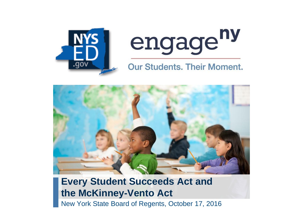



#### **Our Students. Their Moment.**



#### **Every Student Succeeds Act and the McKinney-Vento Act**

New York State Board of Regents, October 17, 2016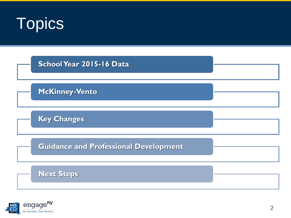



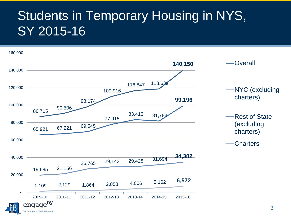#### Students in Temporary Housing in NYS, SY 2015-16

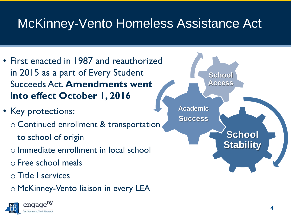#### McKinney-Vento Homeless Assistance Act

- First enacted in 1987 and reauthorized in 2015 as a part of Every Student Succeeds Act. **Amendments went into effect October 1, 2016**
- Key protections:
	- o Continued enrollment & transportation to school of origin
	- o Immediate enrollment in local school
	- o Free school meals
	- o Title I services
	- o McKinney-Vento liaison in every LEA



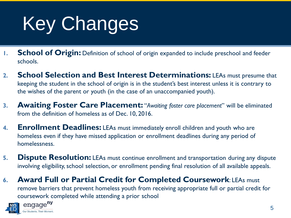# Key Changes

- **1. School of Origin:** Definition of school of origin expanded to include preschool and feeder schools.
- **2. School Selection and Best Interest Determinations:** LEAs must presume that keeping the student in the school of origin is in the student's best interest unless it is contrary to the wishes of the parent or youth (in the case of an unaccompanied youth).
- **3. Awaiting Foster Care Placement:** "*Awaiting foster care placement*" will be eliminated from the definition of homeless as of Dec. 10, 2016.
- **4. Enrollment Deadlines:** LEAs must immediately enroll children and youth who are homeless even if they have missed application or enrollment deadlines during any period of homelessness.
- **5. Dispute Resolution:** LEAs must continue enrollment and transportation during any dispute involving eligibility, school selection, or enrollment pending final resolution of all available appeals.
- **6. Award Full or Partial Credit for Completed Coursework**: LEAs must remove barriers that prevent homeless youth from receiving appropriate full or partial credit for coursework completed while attending a prior school

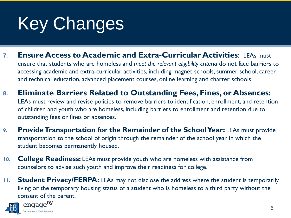### Key Changes

- **7. Ensure Access to Academic and Extra-Curricular Activities**: LEAs must ensure that students who are homeless and *meet the relevant eligibility criteria* do not face barriers to accessing academic and extra-curricular activities, including magnet schools, summer school, career and technical education, advanced placement courses, online learning and charter schools.
- **8. Eliminate Barriers Related to Outstanding Fees, Fines, or Absences:**  LEAs must review and revise policies to remove barriers to identification, enrollment, and retention of children and youth who are homeless, including barriers to enrollment and retention due to outstanding fees or fines or absences.
- **9. Provide Transportation for the Remainder of the School Year:** LEAs must provide transportation to the school of origin through the remainder of the school year in which the student becomes permanently housed.
- **10. College Readiness:** LEAs must provide youth who are homeless with assistance from counselors to advise such youth and improve their readiness for college.
- **11. Student Privacy/FERPA:** LEAs may not disclose the address where the student is temporarily living or the temporary housing status of a student who is homeless to a third party without the consent of the parent.

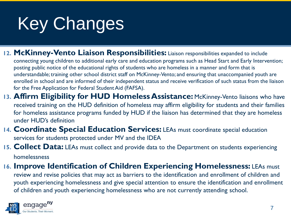## Key Changes

12. McKinney-Vento Liaison Responsibilities: Liaison responsibilities expanded to include

connecting young children to additional early care and education programs such as Head Start and Early Intervention; posting public notice of the educational rights of students who are homeless in a manner and form that is understandable; training other school district staff on McKinney-Vento; and ensuring that unaccompanied youth are enrolled in school and are informed of their independent status and receive verification of such status from the liaison for the Free Application for Federal Student Aid (FAFSA).

- 13. Affirm Eligibility for HUD Homeless Assistance: McKinney-Vento liaisons who have received training on the HUD definition of homeless may affirm eligibility for students and their families for homeless assistance programs funded by HUD if the liaison has determined that they are homeless under HUD's definition
- **14. Coordinate Special Education Services:** LEAs must coordinate special education services for students protected under MV and the IDEA
- **15. Collect Data:** LEAs must collect and provide data to the Department on students experiencing homelessness
- **16. Improve Identification of Children Experiencing Homelessness:** LEAs must

review and revise policies that may act as barriers to the identification and enrollment of children and youth experiencing homelessness and give special attention to ensure the identification and enrollment of children and youth experiencing homelessness who are not currently attending school.

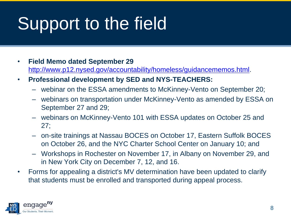## Support to the field

- **Field Memo dated September 29**  <http://www.p12.nysed.gov/accountability/homeless/guidancememos.html>.
- **Professional development by SED and NYS-TEACHERS:**
	- webinar on the ESSA amendments to McKinney-Vento on September 20;
	- webinars on transportation under McKinney-Vento as amended by ESSA on September 27 and 29;
	- webinars on McKinney-Vento 101 with ESSA updates on October 25 and 27;
	- on-site trainings at Nassau BOCES on October 17, Eastern Suffolk BOCES on October 26, and the NYC Charter School Center on January 10; and
	- Workshops in Rochester on November 17, in Albany on November 29, and in New York City on December 7, 12, and 16.
- Forms for appealing a district's MV determination have been updated to clarify that students must be enrolled and transported during appeal process.